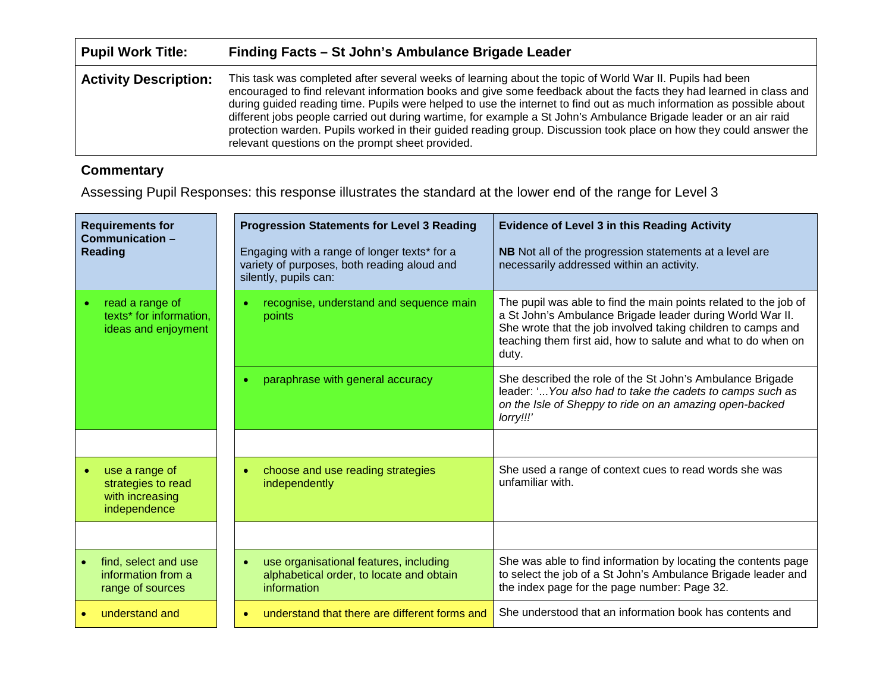| <b>Pupil Work Title:</b>     | Finding Facts – St John's Ambulance Brigade Leader                                                                                                                                                                                                                                                                                                                                                                                                                                                                                                                                                                                                    |
|------------------------------|-------------------------------------------------------------------------------------------------------------------------------------------------------------------------------------------------------------------------------------------------------------------------------------------------------------------------------------------------------------------------------------------------------------------------------------------------------------------------------------------------------------------------------------------------------------------------------------------------------------------------------------------------------|
| <b>Activity Description:</b> | This task was completed after several weeks of learning about the topic of World War II. Pupils had been<br>encouraged to find relevant information books and give some feedback about the facts they had learned in class and<br>during guided reading time. Pupils were helped to use the internet to find out as much information as possible about<br>different jobs people carried out during wartime, for example a St John's Ambulance Brigade leader or an air raid<br>protection warden. Pupils worked in their guided reading group. Discussion took place on how they could answer the<br>relevant questions on the prompt sheet provided. |

## **Commentary**

Assessing Pupil Responses: this response illustrates the standard at the lower end of the range for Level 3

| <b>Requirements for</b><br>Communication -<br><b>Reading</b>            | <b>Progression Statements for Level 3 Reading</b><br>Engaging with a range of longer texts* for a<br>variety of purposes, both reading aloud and<br>silently, pupils can: | <b>Evidence of Level 3 in this Reading Activity</b><br>NB Not all of the progression statements at a level are<br>necessarily addressed within an activity.                                                                                                             |
|-------------------------------------------------------------------------|---------------------------------------------------------------------------------------------------------------------------------------------------------------------------|-------------------------------------------------------------------------------------------------------------------------------------------------------------------------------------------------------------------------------------------------------------------------|
| read a range of<br>texts* for information,<br>ideas and enjoyment       | recognise, understand and sequence main<br>points                                                                                                                         | The pupil was able to find the main points related to the job of<br>a St John's Ambulance Brigade leader during World War II.<br>She wrote that the job involved taking children to camps and<br>teaching them first aid, how to salute and what to do when on<br>duty. |
|                                                                         | paraphrase with general accuracy                                                                                                                                          | She described the role of the St John's Ambulance Brigade<br>leader: ' You also had to take the cadets to camps such as<br>on the Isle of Sheppy to ride on an amazing open-backed<br>lorry!!!'                                                                         |
|                                                                         |                                                                                                                                                                           |                                                                                                                                                                                                                                                                         |
| use a range of<br>strategies to read<br>with increasing<br>independence | choose and use reading strategies<br>independently                                                                                                                        | She used a range of context cues to read words she was<br>unfamiliar with.                                                                                                                                                                                              |
|                                                                         |                                                                                                                                                                           |                                                                                                                                                                                                                                                                         |
| find, select and use<br>information from a<br>range of sources          | use organisational features, including<br>alphabetical order, to locate and obtain<br>information                                                                         | She was able to find information by locating the contents page<br>to select the job of a St John's Ambulance Brigade leader and<br>the index page for the page number: Page 32.                                                                                         |
| understand and                                                          | understand that there are different forms and                                                                                                                             | She understood that an information book has contents and                                                                                                                                                                                                                |